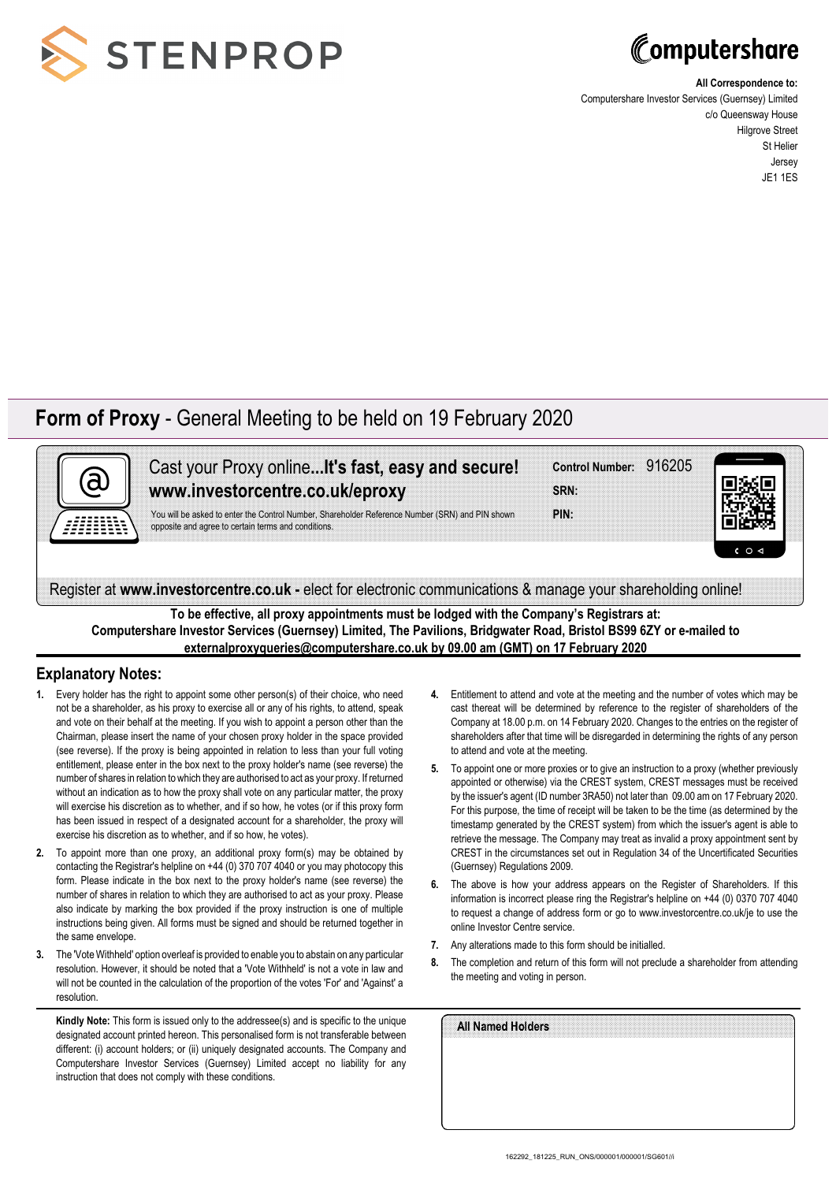



**All Correspondence to:**

Computershare Investor Services (Guernsey) Limited c/o Queensway House Hilgrove Street St Helier Jersey JE1 1ES

## **Form of Proxy** - General Meeting to be held on 19 February 2020



Cast your Proxy online**...It's fast, easy and secure! www.investorcentre.co.uk/eproxy**

You will be asked to enter the Control Number, Shareholder Reference Number (SRN) and PIN shown opposite and agree to certain terms and conditions.

|             | Control Number: 916205 |  |
|-------------|------------------------|--|
| <b>SRN:</b> |                        |  |
| PIN:        |                        |  |



Register at **www.investorcentre.co.uk -** elect for electronic communications & manage your shareholding online!

**To be effective, all proxy appointments must be lodged with the Company's Registrars at: Computershare Investor Services (Guernsey) Limited, The Pavilions, Bridgwater Road, Bristol BS99 6ZY or e-mailed to externalproxyqueries@computershare.co.uk by 09.00 am (GMT) on 17 February 2020**

## **Explanatory Notes:**

- **1.** Every holder has the right to appoint some other person(s) of their choice, who need not be a shareholder, as his proxy to exercise all or any of his rights, to attend, speak and vote on their behalf at the meeting. If you wish to appoint a person other than the Chairman, please insert the name of your chosen proxy holder in the space provided (see reverse). If the proxy is being appointed in relation to less than your full voting entitlement, please enter in the box next to the proxy holder's name (see reverse) the number of shares in relation to which they are authorised to act as your proxy. If returned without an indication as to how the proxy shall vote on any particular matter, the proxy will exercise his discretion as to whether, and if so how, he votes (or if this proxy form has been issued in respect of a designated account for a shareholder, the proxy will exercise his discretion as to whether, and if so how, he votes).
- **2.** To appoint more than one proxy, an additional proxy form(s) may be obtained by contacting the Registrar's helpline on +44 (0) 370 707 4040 or you may photocopy this form. Please indicate in the box next to the proxy holder's name (see reverse) the number of shares in relation to which they are authorised to act as your proxy. Please also indicate by marking the box provided if the proxy instruction is one of multiple instructions being given. All forms must be signed and should be returned together in the same envelope.
- **3.** The 'Vote Withheld' option overleaf is provided to enable you to abstain on any particular resolution. However, it should be noted that a 'Vote Withheld' is not a vote in law and will not be counted in the calculation of the proportion of the votes 'For' and 'Against' a resolution.

**Kindly Note:** This form is issued only to the addressee(s) and is specific to the unique designated account printed hereon. This personalised form is not transferable between different: (i) account holders; or (ii) uniquely designated accounts. The Company and Computershare Investor Services (Guernsey) Limited accept no liability for any instruction that does not comply with these conditions.

- **4.** Entitlement to attend and vote at the meeting and the number of votes which may be cast thereat will be determined by reference to the register of shareholders of the Company at 18.00 p.m. on 14 February 2020. Changes to the entries on the register of shareholders after that time will be disregarded in determining the rights of any person to attend and vote at the meeting.
- **5.** To appoint one or more proxies or to give an instruction to a proxy (whether previously appointed or otherwise) via the CREST system, CREST messages must be received by the issuer's agent (ID number 3RA50) not later than 09.00 am on 17 February 2020. For this purpose, the time of receipt will be taken to be the time (as determined by the timestamp generated by the CREST system) from which the issuer's agent is able to retrieve the message. The Company may treat as invalid a proxy appointment sent by CREST in the circumstances set out in Regulation 34 of the Uncertificated Securities (Guernsey) Regulations 2009.
- **6.** The above is how your address appears on the Register of Shareholders. If this information is incorrect please ring the Registrar's helpline on +44 (0) 0370 707 4040 to request a change of address form or go to www.investorcentre.co.uk/je to use the online Investor Centre service.
- **7.** Any alterations made to this form should be initialled.
- **8.** The completion and return of this form will not preclude a shareholder from attending the meeting and voting in person.

| All Named Holders |  |  |  |
|-------------------|--|--|--|
|                   |  |  |  |
|                   |  |  |  |
|                   |  |  |  |
|                   |  |  |  |